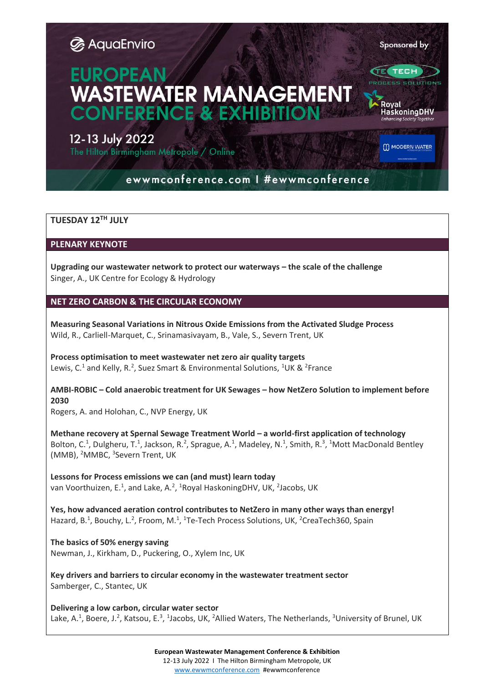#### Sponsored by

**ELTECH** 

# **EUROPEAN WASTEWATER MANAGEMENT ONFERENCE & EXHIB**

## 12-13 July 2022

The Hilton Birmingham Metropole / Online

M MODERN WATER

HaskoningDHV

# ewwmconference.com | #ewwmconference

## **TUESDAY 12TH JULY**

**PLENARY KEYNOTE**

**Upgrading our wastewater network to protect our waterways – the scale of the challenge**  Singer, A., UK Centre for Ecology & Hydrology

## **NET ZERO CARBON & THE CIRCULAR ECONOMY**

**Measuring Seasonal Variations in Nitrous Oxide Emissions from the Activated Sludge Process** Wild, R., Carliell-Marquet, C., Srinamasivayam, B., Vale, S., Severn Trent, UK

**Process optimisation to meet wastewater net zero air quality targets** Lewis, C.<sup>1</sup> and Kelly, R.<sup>2</sup>, Suez Smart & Environmental Solutions, <sup>1</sup>UK & <sup>2</sup>France

## **AMBI-ROBIC – Cold anaerobic treatment for UK Sewages – how NetZero Solution to implement before 2030**

Rogers, A. and Holohan, C., NVP Energy, UK

**Methane recovery at Spernal Sewage Treatment World – a world-first application of technology** Bolton, C.<sup>1</sup>, Dulgheru, T.<sup>1</sup>, Jackson, R.<sup>2</sup>, Sprague, A.<sup>1</sup>, Madeley, N.<sup>1</sup>, Smith, R.<sup>3</sup>, <sup>1</sup>Mott MacDonald Bentley (MMB), <sup>2</sup>MMBC, <sup>3</sup>Severn Trent, UK

**Lessons for Process emissions we can (and must) learn today** van Voorthuizen, E.<sup>1</sup>, and Lake, A.<sup>2</sup>, <sup>1</sup>Royal HaskoningDHV, UK, <sup>2</sup>Jacobs, UK

**Yes, how advanced aeration control contributes to NetZero in many other ways than energy!** Hazard, B.<sup>1</sup>, Bouchy, L.<sup>2</sup>, Froom, M.<sup>1</sup>, <sup>1</sup>Te-Tech Process Solutions, UK, <sup>2</sup>CreaTech360, Spain

**The basics of 50% energy saving** Newman, J., Kirkham, D., Puckering, O., Xylem Inc, UK

**Key drivers and barriers to circular economy in the wastewater treatment sector** Samberger, C., Stantec, UK

**Delivering a low carbon, circular water sector** Lake, A.<sup>1</sup>, Boere, J.<sup>2</sup>, Katsou, E.<sup>3</sup>, <sup>1</sup>Jacobs, UK, <sup>2</sup>Allied Waters, The Netherlands, <sup>3</sup>University of Brunel, UK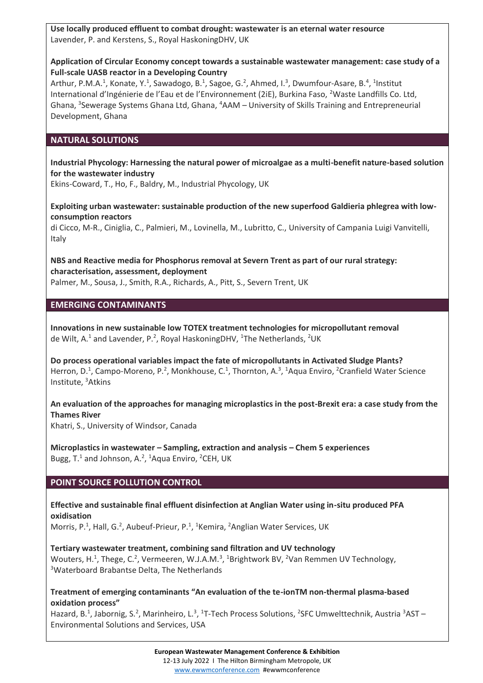**Use locally produced effluent to combat drought: wastewater is an eternal water resource** Lavender, P. and Kerstens, S., Royal HaskoningDHV, UK

#### **Application of Circular Economy concept towards a sustainable wastewater management: case study of a Full-scale UASB reactor in a Developing Country**

Arthur, P.M.A.<sup>1</sup>, Konate, Y.<sup>1</sup>, Sawadogo, B.<sup>1</sup>, Sagoe, G.<sup>2</sup>, Ahmed, I.<sup>3</sup>, Dwumfour-Asare, B.<sup>4</sup>, <sup>1</sup>Institut International d'Ingénierie de l'Eau et de l'Environnement (2iE), Burkina Faso, <sup>2</sup>Waste Landfills Co. Ltd, Ghana, <sup>3</sup>Sewerage Systems Ghana Ltd, Ghana, <sup>4</sup>AAM – University of Skills Training and Entrepreneurial Development, Ghana

## **NATURAL SOLUTIONS**

**Industrial Phycology: Harnessing the natural power of microalgae as a multi-benefit nature-based solution for the wastewater industry**

Ekins-Coward, T., Ho, F., Baldry, M., Industrial Phycology, UK

**Exploiting urban wastewater: sustainable production of the new superfood Galdieria phlegrea with lowconsumption reactors**

di Cicco, M-R., Ciniglia, C., Palmieri, M., Lovinella, M., Lubritto, C., University of Campania Luigi Vanvitelli, Italy

**NBS and Reactive media for Phosphorus removal at Severn Trent as part of our rural strategy: characterisation, assessment, deployment** Palmer, M., Sousa, J., Smith, R.A., Richards, A., Pitt, S., Severn Trent, UK

#### **EMERGING CONTAMINANTS**

**Innovations in new sustainable low TOTEX treatment technologies for micropollutant removal** de Wilt, A.<sup>1</sup> and Lavender, P.<sup>2</sup>, Royal HaskoningDHV, <sup>1</sup>The Netherlands, <sup>2</sup>UK

**Do process operational variables impact the fate of micropollutants in Activated Sludge Plants?** Herron, D.<sup>1</sup>, Campo-Moreno, P.<sup>2</sup>, Monkhouse, C.<sup>1</sup>, Thornton, A.<sup>3</sup>, <sup>1</sup>Aqua Enviro, <sup>2</sup>Cranfield Water Science Institute, <sup>3</sup>Atkins

**An evaluation of the approaches for managing microplastics in the post-Brexit era: a case study from the Thames River**

Khatri, S., University of Windsor, Canada

**Microplastics in wastewater – Sampling, extraction and analysis – Chem 5 experiences** Bugg, T.<sup>1</sup> and Johnson, A.<sup>2</sup>, <sup>1</sup>Aqua Enviro, <sup>2</sup>CEH, UK

#### **POINT SOURCE POLLUTION CONTROL**

**Effective and sustainable final effluent disinfection at Anglian Water using in-situ produced PFA oxidisation** Morris, P.<sup>1</sup>, Hall, G.<sup>2</sup>, Aubeuf-Prieur, P.<sup>1</sup>, <sup>1</sup>Kemira, <sup>2</sup>Anglian Water Services, UK

**Tertiary wastewater treatment, combining sand filtration and UV technology** Wouters, H.<sup>1</sup>, Thege, C.<sup>2</sup>, Vermeeren, W.J.A.M.<sup>3</sup>, <sup>1</sup>Brightwork BV, <sup>2</sup>Van Remmen UV Technology, <sup>3</sup>Waterboard Brabantse Delta, The Netherlands

**Treatment of emerging contaminants "An evaluation of the te-ionTM non-thermal plasma-based oxidation process"**

Hazard, B.<sup>1</sup>, Jabornig, S.<sup>2</sup>, Marinheiro, L.<sup>3</sup>, <sup>1</sup>T-Tech Process Solutions, <sup>2</sup>SFC Umwelttechnik, Austria <sup>3</sup>AST -Environmental Solutions and Services, USA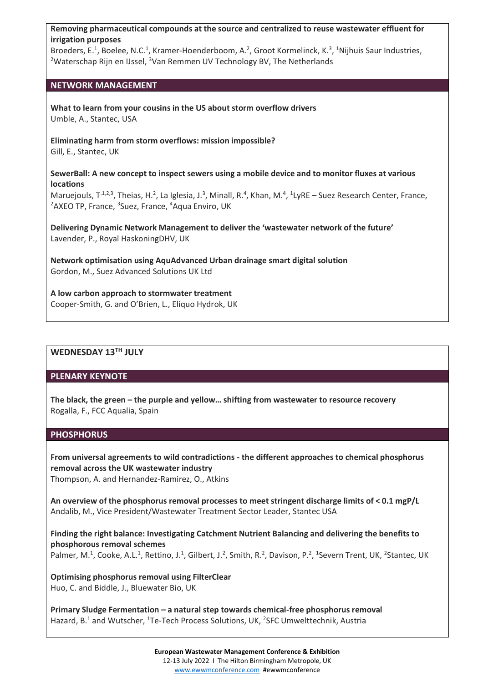**Removing pharmaceutical compounds at the source and centralized to reuse wastewater effluent for irrigation purposes**

Broeders, E.<sup>1</sup>, Boelee, N.C.<sup>1</sup>, Kramer-Hoenderboom, A.<sup>2</sup>, Groot Kormelinck, K.<sup>3</sup>, <sup>1</sup>Nijhuis Saur Industries, <sup>2</sup>Waterschap Rijn en IJssel, <sup>3</sup>Van Remmen UV Technology BV, The Netherlands

#### **NETWORK MANAGEMENT**

**What to learn from your cousins in the US about storm overflow drivers** Umble, A., Stantec, USA

**Eliminating harm from storm overflows: mission impossible?** Gill, E., Stantec, UK

**SewerBall: A new concept to inspect sewers using a mobile device and to monitor fluxes at various locations**

Maruejouls, T<sup>.1,2,3</sup>, Theias, H.<sup>2</sup>, La Iglesia, J.<sup>3</sup>, Minall, R.<sup>4</sup>, Khan, M.<sup>4</sup>, <sup>1</sup>LyRE – Suez Research Center, France, <sup>2</sup>AXEO TP, France, <sup>3</sup>Suez, France, <sup>4</sup>Aqua Enviro, UK

**Delivering Dynamic Network Management to deliver the 'wastewater network of the future'** Lavender, P., Royal HaskoningDHV, UK

**Network optimisation using AquAdvanced Urban drainage smart digital solution** Gordon, M., Suez Advanced Solutions UK Ltd

**A low carbon approach to stormwater treatment** Cooper-Smith, G. and O'Brien, L., Eliquo Hydrok, UK

## **WEDNESDAY 13TH JULY**

#### **PLENARY KEYNOTE**

**The black, the green – the purple and yellow… shifting from wastewater to resource recovery** Rogalla, F., FCC Aqualia, Spain

#### **PHOSPHORUS**

**From universal agreements to wild contradictions - the different approaches to chemical phosphorus removal across the UK wastewater industry** Thompson, A. and Hernandez-Ramirez, O., Atkins

**An overview of the phosphorus removal processes to meet stringent discharge limits of < 0.1 mgP/L** Andalib, M., Vice President/Wastewater Treatment Sector Leader, Stantec USA

**Finding the right balance: Investigating Catchment Nutrient Balancing and delivering the benefits to phosphorous removal schemes** Palmer, M.<sup>1</sup>, Cooke, A.L.<sup>1</sup>, Rettino, J.<sup>1</sup>, Gilbert, J.<sup>2</sup>, Smith, R.<sup>2</sup>, Davison, P.<sup>2</sup>, <sup>1</sup>Severn Trent, UK, <sup>2</sup>Stantec, UK

**Optimising phosphorus removal using FilterClear** Huo, C. and Biddle, J., Bluewater Bio, UK

**Primary Sludge Fermentation – a natural step towards chemical-free phosphorus removal** Hazard, B.<sup>1</sup> and Wutscher, <sup>1</sup>Te-Tech Process Solutions, UK, <sup>2</sup>SFC Umwelttechnik, Austria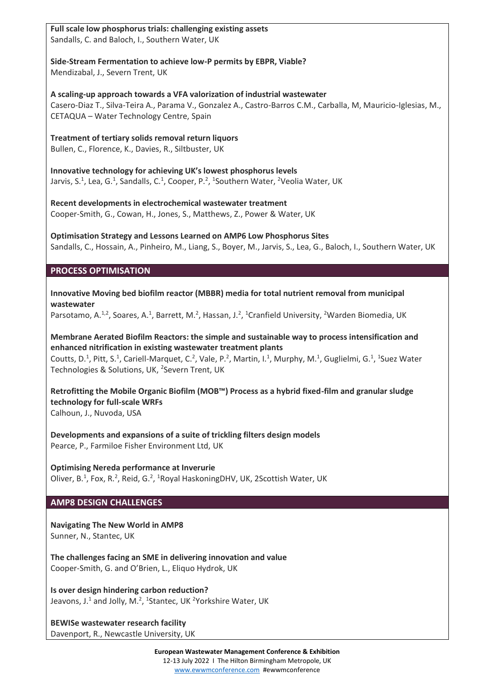**Full scale low phosphorus trials: challenging existing assets** Sandalls, C. and Baloch, I., Southern Water, UK

**Side-Stream Fermentation to achieve low-P permits by EBPR, Viable?** Mendizabal, J., Severn Trent, UK

**A scaling-up approach towards a VFA valorization of industrial wastewater** Casero-Diaz T., Silva-Teira A., Parama V., Gonzalez A., Castro-Barros C.M., Carballa, M, Mauricio-Iglesias, M., CETAQUA – Water Technology Centre, Spain

**Treatment of tertiary solids removal return liquors** Bullen, C., Florence, K., Davies, R., Siltbuster, UK

**Innovative technology for achieving UK's lowest phosphorus levels** Jarvis, S.<sup>1</sup>, Lea, G.<sup>1</sup>, Sandalls, C.<sup>1</sup>, Cooper, P.<sup>2</sup>, <sup>1</sup>Southern Water, <sup>2</sup>Veolia Water, UK

**Recent developments in electrochemical wastewater treatment** Cooper-Smith, G., Cowan, H., Jones, S., Matthews, Z., Power & Water, UK

**Optimisation Strategy and Lessons Learned on AMP6 Low Phosphorus Sites** Sandalls, C., Hossain, A., Pinheiro, M., Liang, S., Boyer, M., Jarvis, S., Lea, G., Baloch, I., Southern Water, UK

## **PROCESS OPTIMISATION**

**Innovative Moving bed biofilm reactor (MBBR) media for total nutrient removal from municipal wastewater**

Parsotamo, A.<sup>1,2</sup>, Soares, A.<sup>1</sup>, Barrett, M.<sup>2</sup>, Hassan, J.<sup>2</sup>, <sup>1</sup>Cranfield University, <sup>2</sup>Warden Biomedia, UK

**Membrane Aerated Biofilm Reactors: the simple and sustainable way to process intensification and enhanced nitrification in existing wastewater treatment plants**

Coutts, D.<sup>1</sup>, Pitt, S.<sup>1</sup>, Cariell-Marquet, C.<sup>2</sup>, Vale, P.<sup>2</sup>, Martin, I.<sup>1</sup>, Murphy, M.<sup>1</sup>, Guglielmi, G.<sup>1</sup>, <sup>1</sup>Suez Water Technologies & Solutions, UK, <sup>2</sup>Severn Trent, UK

**Retrofitting the Mobile Organic Biofilm (MOB™) Process as a hybrid fixed-film and granular sludge technology for full-scale WRFs** Calhoun, J., Nuvoda, USA

**Developments and expansions of a suite of trickling filters design models** Pearce, P., Farmiloe Fisher Environment Ltd, UK

**Optimising Nereda performance at Inverurie** Oliver, B.<sup>1</sup>, Fox, R.<sup>2</sup>, Reid, G.<sup>2</sup>, <sup>1</sup>Royal HaskoningDHV, UK, 2Scottish Water, UK

## **AMP8 DESIGN CHALLENGES**

**Navigating The New World in AMP8** Sunner, N., Stantec, UK

**The challenges facing an SME in delivering innovation and value** Cooper-Smith, G. and O'Brien, L., Eliquo Hydrok, UK

**Is over design hindering carbon reduction?** Jeavons, J.<sup>1</sup> and Jolly, M.<sup>2</sup>, <sup>1</sup>Stantec, UK <sup>2</sup>Yorkshire Water, UK

**BEWISe wastewater research facility** Davenport, R., Newcastle University, UK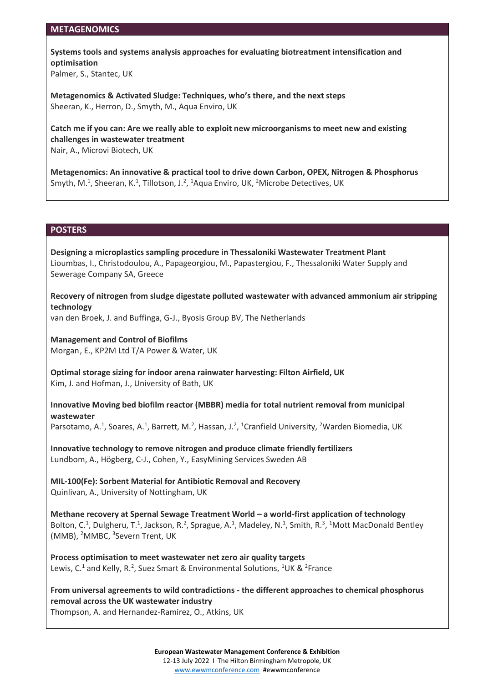#### **METAGENOMICS**

**Systems tools and systems analysis approaches for evaluating biotreatment intensification and optimisation**

Palmer, S., Stantec, UK

**Metagenomics & Activated Sludge: Techniques, who's there, and the next steps** Sheeran, K., Herron, D., Smyth, M., Aqua Enviro, UK

**Catch me if you can: Are we really able to exploit new microorganisms to meet new and existing challenges in wastewater treatment** Nair, A., Microvi Biotech, UK

**Metagenomics: An innovative & practical tool to drive down Carbon, OPEX, Nitrogen & Phosphorus** Smyth, M.<sup>1</sup>, Sheeran, K.<sup>1</sup>, Tillotson, J.<sup>2</sup>, <sup>1</sup>Aqua Enviro, UK, <sup>2</sup>Microbe Detectives, UK

#### **POSTERS**

**Designing a microplastics sampling procedure in Thessaloniki Wastewater Treatment Plant**  Lioumbas, I., Christodoulou, A., Papageorgiou, M., Papastergiou, F., Thessaloniki Water Supply and Sewerage Company SA, Greece

**Recovery of nitrogen from sludge digestate polluted wastewater with advanced ammonium air stripping technology**

van den Broek, J. and Buffinga, G-J., Byosis Group BV, The Netherlands

**Management and Control of Biofilms** Morgan, E., KP2M Ltd T/A Power & Water, UK

**Optimal storage sizing for indoor arena rainwater harvesting: Filton Airfield, UK** Kim, J. and Hofman, J., University of Bath, UK

**Innovative Moving bed biofilm reactor (MBBR) media for total nutrient removal from municipal wastewater**

Parsotamo, A.<sup>1</sup>, Soares, A.<sup>1</sup>, Barrett, M.<sup>2</sup>, Hassan, J.<sup>2</sup>, <sup>1</sup>Cranfield University, <sup>2</sup>Warden Biomedia, UK

**Innovative technology to remove nitrogen and produce climate friendly fertilizers** Lundbom, A., Högberg, C-J., Cohen, Y., EasyMining Services Sweden AB

**MIL-100(Fe): Sorbent Material for Antibiotic Removal and Recovery** Quinlivan, A., University of Nottingham, UK

**Methane recovery at Spernal Sewage Treatment World – a world-first application of technology** Bolton, C.<sup>1</sup>, Dulgheru, T.<sup>1</sup>, Jackson, R.<sup>2</sup>, Sprague, A.<sup>1</sup>, Madeley, N.<sup>1</sup>, Smith, R.<sup>3</sup>, <sup>1</sup>Mott MacDonald Bentley (MMB), <sup>2</sup>MMBC, <sup>3</sup>Severn Trent, UK

**Process optimisation to meet wastewater net zero air quality targets** Lewis, C.<sup>1</sup> and Kelly, R.<sup>2</sup>, Suez Smart & Environmental Solutions, <sup>1</sup>UK & <sup>2</sup>France

**From universal agreements to wild contradictions - the different approaches to chemical phosphorus removal across the UK wastewater industry**

Thompson, A. and Hernandez-Ramirez, O., Atkins, UK

#### **European Wastewater Management Conference & Exhibition**

12-13 July 2022 I The Hilton Birmingham Metropole, UK [www.ewwmconference.com](http://www.ewwmconference.com/) #ewwmconference